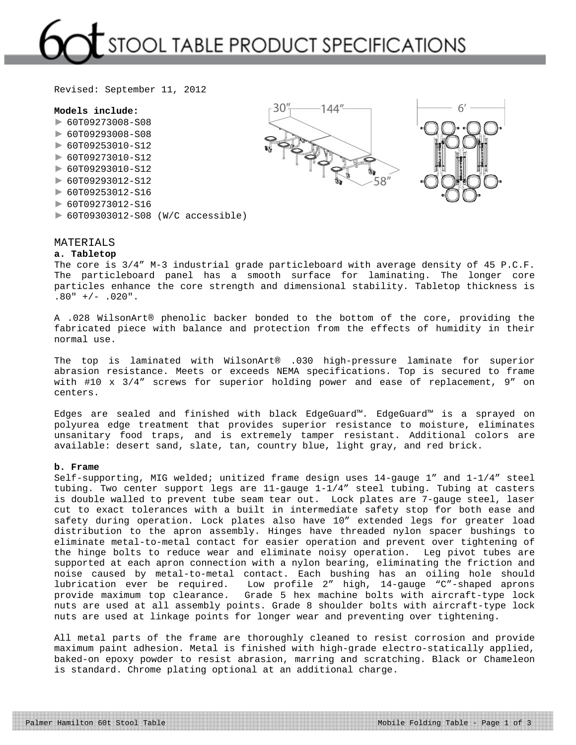# STOOL TABLE PRODUCT SPECIFICATIONS

Revised: September 11, 2012

#### **Models include:**

- ► 60T09273008-S08
- ► 60T09293008-S08
- ► 60T09253010-S12
- ► 60T09273010-S12
- ► 60T09293010-S12
- ► 60T09293012-S12
- ► 60T09253012-S16
- ► 60T09273012-S16
- ► 60T09303012-S08 (W/C accessible)

### MATERIALS **a. Tabletop**

The core is 3/4" M-3 industrial grade particleboard with average density of 45 P.C.F. The particleboard panel has a smooth surface for laminating. The longer core particles enhance the core strength and dimensional stability. Tabletop thickness is  $.80" +/- .020"$ .

A .028 WilsonArt® phenolic backer bonded to the bottom of the core, providing the fabricated piece with balance and protection from the effects of humidity in their normal use.

The top is laminated with WilsonArt® .030 high-pressure laminate for superior abrasion resistance. Meets or exceeds NEMA specifications. Top is secured to frame with #10 x 3/4" screws for superior holding power and ease of replacement, 9" on centers.

Edges are sealed and finished with black EdgeGuard™. EdgeGuard™ is a sprayed on polyurea edge treatment that provides superior resistance to moisture, eliminates unsanitary food traps, and is extremely tamper resistant. Additional colors are available: desert sand, slate, tan, country blue, light gray, and red brick.

#### **b. Frame**

Self-supporting, MIG welded; unitized frame design uses 14-gauge 1" and 1-1/4" steel tubing. Two center support legs are 11-gauge 1-1/4" steel tubing. Tubing at casters is double walled to prevent tube seam tear out. Lock plates are 7-gauge steel, laser cut to exact tolerances with a built in intermediate safety stop for both ease and safety during operation. Lock plates also have 10" extended legs for greater load distribution to the apron assembly. Hinges have threaded nylon spacer bushings to eliminate metal-to-metal contact for easier operation and prevent over tightening of the hinge bolts to reduce wear and eliminate noisy operation. Leg pivot tubes are supported at each apron connection with a nylon bearing, eliminating the friction and noise caused by metal-to-metal contact. Each bushing has an oiling hole should lubrication ever be required. Low profile 2" high, 14-gauge "C"-shaped aprons provide maximum top clearance. Grade 5 hex machine bolts with aircraft-type lock nuts are used at all assembly points. Grade 8 shoulder bolts with aircraft-type lock nuts are used at linkage points for longer wear and preventing over tightening.

All metal parts of the frame are thoroughly cleaned to resist corrosion and provide maximum paint adhesion. Metal is finished with high-grade electro-statically applied, baked-on epoxy powder to resist abrasion, marring and scratching. Black or Chameleon is standard. Chrome plating optional at an additional charge.

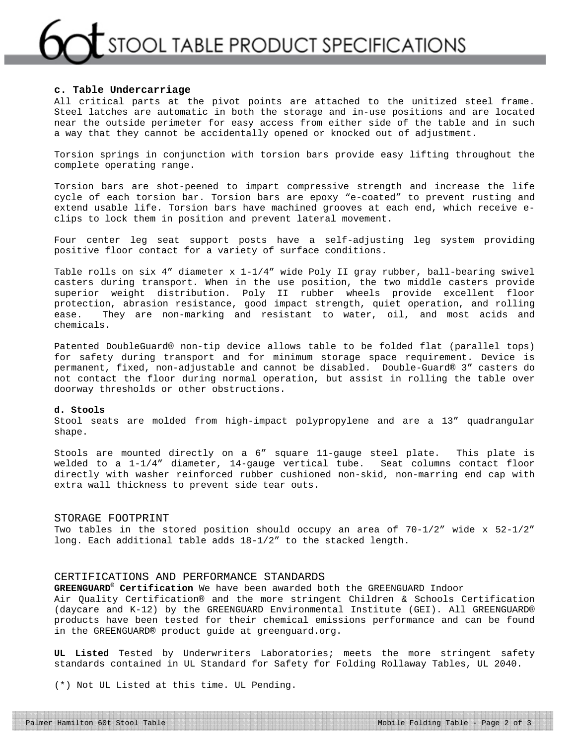## STOOL TABLE PRODUCT SPECIFICATIONS

#### **c. Table Undercarriage**

All critical parts at the pivot points are attached to the unitized steel frame. Steel latches are automatic in both the storage and in-use positions and are located near the outside perimeter for easy access from either side of the table and in such a way that they cannot be accidentally opened or knocked out of adjustment.

Torsion springs in conjunction with torsion bars provide easy lifting throughout the complete operating range.

Torsion bars are shot-peened to impart compressive strength and increase the life cycle of each torsion bar. Torsion bars are epoxy "e-coated" to prevent rusting and extend usable life. Torsion bars have machined grooves at each end, which receive eclips to lock them in position and prevent lateral movement.

Four center leg seat support posts have a self-adjusting leg system providing positive floor contact for a variety of surface conditions.

Table rolls on six 4" diameter x 1-1/4" wide Poly II gray rubber, ball-bearing swivel casters during transport. When in the use position, the two middle casters provide superior weight distribution. Poly II rubber wheels provide excellent floor protection, abrasion resistance, good impact strength, quiet operation, and rolling ease. They are non-marking and resistant to water, oil, and most acids and chemicals.

Patented DoubleGuard® non-tip device allows table to be folded flat (parallel tops) for safety during transport and for minimum storage space requirement. Device is permanent, fixed, non-adjustable and cannot be disabled. Double-Guard® 3" casters do not contact the floor during normal operation, but assist in rolling the table over doorway thresholds or other obstructions.

### **d. Stools**

Stool seats are molded from high-impact polypropylene and are a 13" quadrangular shape.

Stools are mounted directly on a 6" square 11-gauge steel plate. This plate is welded to a 1-1/4" diameter, 14-gauge vertical tube. Seat columns contact floor directly with washer reinforced rubber cushioned non-skid, non-marring end cap with extra wall thickness to prevent side tear outs.

#### STORAGE FOOTPRINT

Two tables in the stored position should occupy an area of  $70-1/2$ " wide x  $52-1/2$ " long. Each additional table adds 18-1/2" to the stacked length.

#### CERTIFICATIONS AND PERFORMANCE STANDARDS

**GREENGUARD® Certification** We have been awarded both the GREENGUARD Indoor Air Quality Certification® and the more stringent Children & Schools Certification (daycare and K-12) by the GREENGUARD Environmental Institute (GEI). All GREENGUARD® products have been tested for their chemical emissions performance and can be found in the GREENGUARD® product guide at greenguard.org.

**UL Listed** Tested by Underwriters Laboratories; meets the more stringent safety standards contained in UL Standard for Safety for Folding Rollaway Tables, UL 2040.

(\*) Not UL Listed at this time. UL Pending.